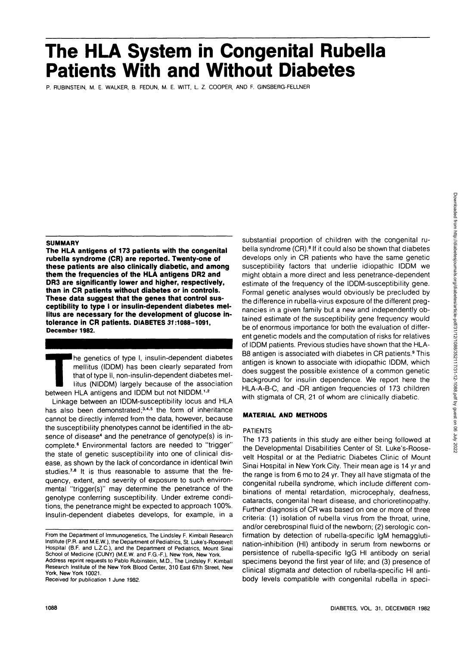# **The HLA System in Congenital Rubella Patients With and Without Diabetes**

P. RUBINSTEIN, M. E. WALKER, B. FEDUN, M. E. WITT, L. Z. COOPER, AND F. GINSBERG-FELLNER

## **SUMMARY**

**The HLA antigens of 173 patients with the congenital rubella syndrome (CR) are reported. Twenty-one of these patients are also clinically diabetic, and among them the frequencies of the HLA antigens DR2 and DR3 are significantly lower and higher, respectively, than in CR patients without diabetes or in controls. These data suggest that the genes that control susceptibility to type I or insulin-dependent diabetes mellitus are necessary for the development of glucose intolerance in CR patients. DIABETES 31:1088-1091, December 1982.**

The genetics of type I, insulin-dependent diabetes<br>mellitus (IDDM) has been clearly separated from<br>that of type II, non-insulin-dependent diabetes mel-<br>litus (NIDDM) largely because of the association<br>between HLA antigens mellitus (IDDM) has been clearly separated from that of type II, non-insulin-dependent diabetes mellitus (NIDDM) largely because of the association between HLA antigens and IDDM but not NIDDM.<sup>1,2</sup>

Linkage between an IDDM-susceptibility locus and HLA has also been demonstrated;<sup>3,4,5</sup> the form of inheritance cannot be directly inferred from the data, however, because the susceptibility phenotypes cannot be identified in the absence of disease<sup>4</sup> and the penetrance of genotype(s) is incomplete.<sup>6</sup> Environmental factors are needed to "trigger" the state of genetic susceptibility into one of clinical disease, as shown by the lack of concordance in identical twin studies.<sup>7,8</sup> It is thus reasonable to assume that the frequency, extent, and severity of exposure to such environmental "trigger(s)" may determine the penetrance of the genotype conferring susceptibility. Under extreme conditions, the penetrance might be expected to approach 100%. Insulin-dependent diabetes develops, for example, in a

Address reprint requests to Pablo Rubinstein, M.D., The Lindsley F. Kimball Research Institute of the **New** York Blood Center, 310 East 67th Street, New York, **New** York 10021.

Received for publication 1 June 1982.

substantial proportion of children with the congenital rubella syndrome (CR).<sup>9</sup> If it could also be shown that diabetes develops only in CR patients who have the same genetic susceptibility factors that underlie idiopathic IDDM we might obtain a more direct and less penetrance-dependent estimate of the frequency of the IDDM-susceptibility gene. Formal genetic analyses would obviously be precluded by the difference in rubella-virus exposure of the different pregnancies in a given family but a new and independently obtained estimate of the susceptibility gene frequency would be of enormous importance for both the evaluation of different genetic models and the computation of risks for relatives of IDDM patients. Previous studies have shown that the HLA-B8 antigen is associated with diabetes in CR patients.<sup>9</sup> This antigen is known to associate with idiopathic IDDM, which does suggest the possible existence of a common genetic background for insulin dependence. We report here the HLA-A-B-C, and -DR antigen frequencies of 173 children with stigmata of CR, 21 of whom are clinically diabetic.

#### **MATERIAL AND METHODS**

## PATIENTS

The 173 patients in this study are either being followed at the Developmental Disabilities Center of St. Luke's-Roosevelt Hospital or at the Pediatric Diabetes Clinic of Mount Sinai Hospital in New York City. Their mean age is 14 yr and the range is from 6 mo to 24 yr. They all have stigmata of the congenital rubella syndrome, which include different combinations of mental retardation, microcephaly, deafness, cataracts, congenital heart disease, and chorioretinopathy. Further diagnosis of CR was based on one or more of three criteria: (1) isolation of rubella virus from the throat, urine, and/or cerebrospinal fluid of the newborn; (2) serologic confirmation by detection of rubella-specific IgM hemagglutination-inhibition (HI) antibody in serum from newborns or persistence of rubella-specific IgG HI antibody on serial specimens beyond the first year of life; and (3) presence of clinical stigmata and detection of rubella-specific HI antibody levels compatible with congenital rubella in speci-

From the Department of Immunogenetics, The Lindsley F. Kimball Research Institute (P.R. and M.E.W.), the Department of Pediatrics, St. Luke's-Roosevelt Hospital (B.F. and L.Z.C.), and the Department of Pediatrics, Mount Sinai School of Medicine (CUNY) (M.E.W. and F.G.-F.), New York, New York.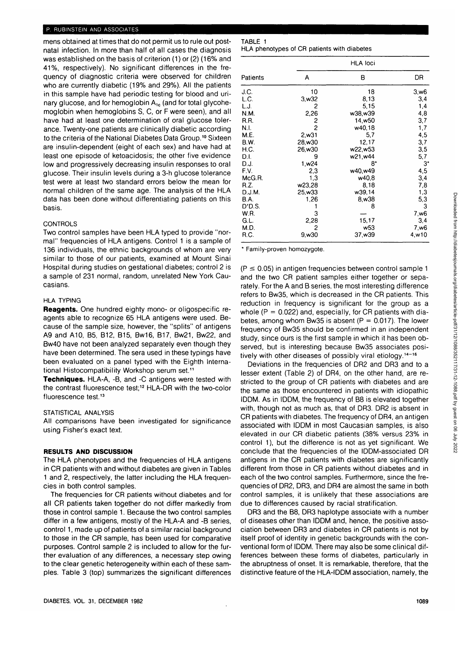#### P. RUBINSTEIN AND ASSOCIATES

mens obtained at times that do not permit us to rule out postnatal infection. In more than half of all cases the diagnosis was established on the basis of criterion (1) or (2) (16% and 41%, respectively). No significant differences in the frequency of diagnostic criteria were observed for children who are currently diabetic (19% and 29%). All the patients in this sample have had periodic testing for blood and urinary glucose, and for hemoglobin  $A_{1c}$  (and for total glycohemoglobin when hemoglobins S, C, or F were seen), and all have had at least one determination of oral glucose tolerance. Twenty-one patients are clinically diabetic according to the criteria of the National Diabetes Data Group.<sup>10</sup> Sixteen are insulin-dependent (eight of each sex) and have had at least one episode of ketoacidosis; the other five evidence low and progressively decreasing insulin responses to oral glucose. Their insulin levels during a 3-h glucose tolerance test were at least two standard errors below the mean for normal children of the same age. The analysis of the HLA data has been done without differentiating patients on this basis.

#### CONTROLS

Two control samples have been HLA typed to provide "normal" frequencies of HLA antigens. Control 1 is a sample of 136 individuals, the ethnic backgrounds of whom are very similar to those of our patients, examined at Mount Sinai Hospital during studies on gestational diabetes; control 2 is a sample of 231 normal, random, unrelated New York Caucasians.

# HLA TYPING

**Reagents.** One hundred eighty mono- or oligospecific reagents able to recognize 65 HLA antigens were used. Because of the sample size, however, the "splits" of antigens A9 and A10, B5, B12, B15, Bw16, B17, Bw21, Bw22, and Bw40 have not been analyzed separately even though they have been determined. The sera used in these typings have been evaluated on a panel typed with the Eighth International Histocompatibility Workshop serum set.11

**Techniques.** HLA-A, -B, and -C antigens were tested with the contrast fluorescence test;<sup>12</sup> HLA-DR with the two-color fluorescence test.<sup>13</sup>

#### STATISTICAL ANALYSIS

All comparisons have been investigated for significance using Fisher's exact text.

## **RESULTS AND DISCUSSION**

The HLA phenotypes and the frequencies of HLA antigens in CR patients with and without diabetes are given in Tables 1 and 2, respectively, the latter including the HLA frequencies in both control samples.

The frequencies for CR patients without diabetes and for all CR patients taken together do not differ markedly from those in control sample 1. Because the two control samples differ in a few antigens, mostly of the HLA-A and -B series, control 1, made up of patients of a similar racial background to those in the CR sample, has been used for comparative purposes. Control sample 2 is included to allow for the further evaluation of any differences, a necessary step owing to the clear genetic heterogeneity within each of these samples. Table 3 (top) summarizes the significant differences

| TABLE 1 |  |  |                                             |
|---------|--|--|---------------------------------------------|
|         |  |  | HLA phenotypes of CR patients with diabetes |

|             |                   | <b>HLA loci</b> |                  |
|-------------|-------------------|-----------------|------------------|
| Patients    | Α                 | в               | DR               |
| J.C.        | 10                | 18              | 3,w6             |
| L.C.        | 3,w32             | 8,13            | 3,4              |
| L.J.        | 2                 | 5,15            | 1,4              |
| N.M.        | 2,26              | w38,w39         | 4,8              |
| R.R.        | 2                 | 14,w50          | 3,7              |
| N.I.        | $\overline{c}$    | w40,18          | 1,7              |
| M.E.        | 2,w31             | 5,7             | 4,5              |
| <b>B.W.</b> | 28,w30            | 12,17           | 3,7              |
| H.C.        | 26,w30            | w22,w53         | 3,5              |
| D.I.        | 9                 | w21,w44         | 5,7              |
| D.J.        | 1,w <sub>24</sub> | 8*              | 3*               |
| F.V.        | 2,3               | w40.w49         | 4,5              |
| McG.R.      | 1,3               | w40,8           | 3,4              |
| R.Z.        | w23,28            | 8.18            | 7,8              |
| D.J.M.      | 25,w33            | w39,14          | 1,3              |
| <b>B.A.</b> | 1,26              | 8,w38           | 5,3              |
| D'D.S.      |                   | 8               | 3                |
| W.R.        | 3                 |                 | 7,w <sub>6</sub> |
| G.L.        | 2,28              | 15,17           | 3,4              |
| M.D.        | 2                 | w53             | 7,w6             |
| R.C.        | 9.w30             | 37.w39          | 4,w10            |

\* Family-proven homozygote.

 $(P \le 0.05)$  in antigen frequencies between control sample 1 and the two CR patient samples either together or separately. For the A and B series, the most interesting difference refers to Bw35, which is decreased in the CR patients. This reduction in frequency is significant for the group as a whole ( $P = 0.022$ ) and, especially, for CR patients with diabetes, among whom Bw35 is absent ( $P = 0.017$ ). The lower frequency of Bw35 should be confirmed in an independent study, since ours is the first sample in which it has been observed, but is interesting because Bw35 associates positively with other diseases of possibly viral etiology.<sup>14-16</sup>

Deviations in the frequencies of DR2 and DR3 and to a lesser extent (Table 2) of DR4, on the other hand, are restricted to the group of CR patients with diabetes and are the same as those encountered in patients with idiopathic IDDM. As in IDDM, the frequency of B8 is elevated together with, though not as much as, that of DR3. DR2 is absent in CR patients with diabetes. The frequency of DR4, an antigen associated with IDDM in most Caucasian samples, is also elevated in our CR diabetic patients (38% versus 23% in control 1), but the difference is not as yet significant. We conclude that the frequencies of the IDDM-associated DR antigens in the CR patients with diabetes are significantly different from those in CR patients without diabetes and in each of the two control samples. Furthermore, since the frequencies of DR2, DR3, and DR4 are almost the same in both control samples, it is unlikely that these associations are due to differences caused by racial stratification.

DR3 and the B8, DR3 haplotype associate with a number of diseases other than IDDM and, hence, the positive association between DR3 and diabetes in CR patients is not by itself proof of identity in genetic backgrounds with the conventional form of IDDM. There may also be some clinical differences between these forms of diabetes, particularly in the abruptness of onset. It is remarkable, therefore, that the distinctive feature of the HLA-IDDM association, namely, the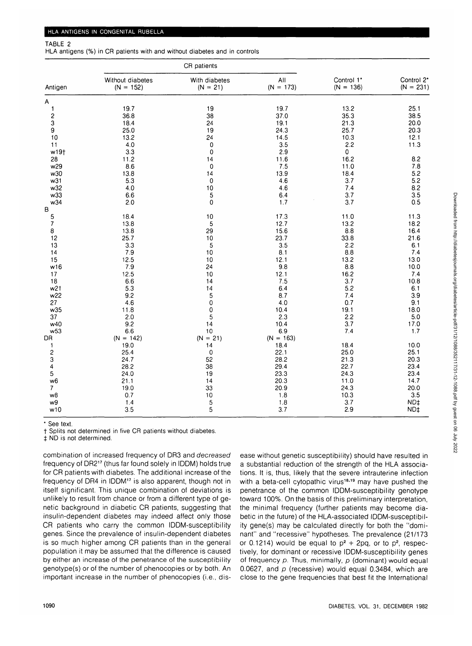#### TABLE 2

HLA antigens (%) in CR patients with and without diabetes and in controls

| All<br>Control 1*<br>Without diabetes<br>With diabetes<br>$(N = 173)$<br>$(N = 136)$<br>$(N = 152)$<br>$(N = 21)$<br>Antigen<br>Α<br>19.7<br>19.7<br>25.1<br>19<br>13.2<br>1<br>38.5<br>2<br>36.8<br>38<br>37.0<br>35.3<br>3<br>18.4<br>24<br>19.1<br>21.3<br>20.0<br>9<br>25.0<br>19<br>24.3<br>20.3<br>25.7<br>10<br>24<br>14.5<br>12.1<br>13.2<br>10.3<br>11<br>4.0<br>0<br>3.5<br>2.2<br>11.3<br>w19†<br>3.3<br>0<br>2.9<br>$\pmb{0}$<br>8.2<br>16.2<br>11.2<br>11.6<br>28<br>14<br>7.8<br>w29<br>8.6<br>0<br>7.5<br>11.0<br>5.2<br>13.9<br>w30<br>13.8<br>18.4<br>14<br>5.2<br>w31<br>5.3<br>0<br>4.6<br>3.7<br>8.2<br>7.4<br>w32<br>4.0<br>10<br>4.6<br>3.5<br>5<br>w33<br>3.7<br>6.6<br>6.4<br>3.7<br>w34<br>2.0<br>0<br>0.5<br>1.7<br>В<br>5<br>18.4<br>10<br>17.3<br>11.3<br>11.0<br>$\boldsymbol{7}$<br>13.8<br>5<br>12.7<br>18.2<br>13.2<br>8<br>15.6<br>16.4<br>13.8<br>29<br>8.8<br>25.7<br>12<br>23.7<br>10<br>33.8<br>21.6<br>3.5<br>3.3<br>5<br>2.2<br>6.1<br>13 |    |     | CR patients |     |     |                           |
|----------------------------------------------------------------------------------------------------------------------------------------------------------------------------------------------------------------------------------------------------------------------------------------------------------------------------------------------------------------------------------------------------------------------------------------------------------------------------------------------------------------------------------------------------------------------------------------------------------------------------------------------------------------------------------------------------------------------------------------------------------------------------------------------------------------------------------------------------------------------------------------------------------------------------------------------------------------------------------|----|-----|-------------|-----|-----|---------------------------|
|                                                                                                                                                                                                                                                                                                                                                                                                                                                                                                                                                                                                                                                                                                                                                                                                                                                                                                                                                                                  |    |     |             |     |     | Control 2*<br>$(N = 231)$ |
|                                                                                                                                                                                                                                                                                                                                                                                                                                                                                                                                                                                                                                                                                                                                                                                                                                                                                                                                                                                  |    |     |             |     |     |                           |
|                                                                                                                                                                                                                                                                                                                                                                                                                                                                                                                                                                                                                                                                                                                                                                                                                                                                                                                                                                                  |    |     |             |     |     |                           |
|                                                                                                                                                                                                                                                                                                                                                                                                                                                                                                                                                                                                                                                                                                                                                                                                                                                                                                                                                                                  |    |     |             |     |     |                           |
|                                                                                                                                                                                                                                                                                                                                                                                                                                                                                                                                                                                                                                                                                                                                                                                                                                                                                                                                                                                  |    |     |             |     |     |                           |
|                                                                                                                                                                                                                                                                                                                                                                                                                                                                                                                                                                                                                                                                                                                                                                                                                                                                                                                                                                                  |    |     |             |     |     |                           |
|                                                                                                                                                                                                                                                                                                                                                                                                                                                                                                                                                                                                                                                                                                                                                                                                                                                                                                                                                                                  |    |     |             |     |     |                           |
|                                                                                                                                                                                                                                                                                                                                                                                                                                                                                                                                                                                                                                                                                                                                                                                                                                                                                                                                                                                  |    |     |             |     |     |                           |
|                                                                                                                                                                                                                                                                                                                                                                                                                                                                                                                                                                                                                                                                                                                                                                                                                                                                                                                                                                                  |    |     |             |     |     |                           |
|                                                                                                                                                                                                                                                                                                                                                                                                                                                                                                                                                                                                                                                                                                                                                                                                                                                                                                                                                                                  |    |     |             |     |     |                           |
|                                                                                                                                                                                                                                                                                                                                                                                                                                                                                                                                                                                                                                                                                                                                                                                                                                                                                                                                                                                  |    |     |             |     |     |                           |
|                                                                                                                                                                                                                                                                                                                                                                                                                                                                                                                                                                                                                                                                                                                                                                                                                                                                                                                                                                                  |    |     |             |     |     |                           |
|                                                                                                                                                                                                                                                                                                                                                                                                                                                                                                                                                                                                                                                                                                                                                                                                                                                                                                                                                                                  |    |     |             |     |     |                           |
|                                                                                                                                                                                                                                                                                                                                                                                                                                                                                                                                                                                                                                                                                                                                                                                                                                                                                                                                                                                  |    |     |             |     |     |                           |
|                                                                                                                                                                                                                                                                                                                                                                                                                                                                                                                                                                                                                                                                                                                                                                                                                                                                                                                                                                                  |    |     |             |     |     |                           |
|                                                                                                                                                                                                                                                                                                                                                                                                                                                                                                                                                                                                                                                                                                                                                                                                                                                                                                                                                                                  |    |     |             |     |     |                           |
|                                                                                                                                                                                                                                                                                                                                                                                                                                                                                                                                                                                                                                                                                                                                                                                                                                                                                                                                                                                  |    |     |             |     |     |                           |
|                                                                                                                                                                                                                                                                                                                                                                                                                                                                                                                                                                                                                                                                                                                                                                                                                                                                                                                                                                                  |    |     |             |     |     |                           |
|                                                                                                                                                                                                                                                                                                                                                                                                                                                                                                                                                                                                                                                                                                                                                                                                                                                                                                                                                                                  |    |     |             |     |     |                           |
|                                                                                                                                                                                                                                                                                                                                                                                                                                                                                                                                                                                                                                                                                                                                                                                                                                                                                                                                                                                  |    |     |             |     |     |                           |
|                                                                                                                                                                                                                                                                                                                                                                                                                                                                                                                                                                                                                                                                                                                                                                                                                                                                                                                                                                                  |    |     |             |     |     |                           |
|                                                                                                                                                                                                                                                                                                                                                                                                                                                                                                                                                                                                                                                                                                                                                                                                                                                                                                                                                                                  |    |     |             |     |     |                           |
|                                                                                                                                                                                                                                                                                                                                                                                                                                                                                                                                                                                                                                                                                                                                                                                                                                                                                                                                                                                  | 14 | 7.9 | 10          | 8.1 | 8.8 | 7.4                       |
| 15<br>12.5<br>10<br>12.1<br>13.2                                                                                                                                                                                                                                                                                                                                                                                                                                                                                                                                                                                                                                                                                                                                                                                                                                                                                                                                                 |    |     |             |     |     | 13.0                      |
| 9.8<br>7.9<br>w16<br>24<br>8.8                                                                                                                                                                                                                                                                                                                                                                                                                                                                                                                                                                                                                                                                                                                                                                                                                                                                                                                                                   |    |     |             |     |     | 10.0                      |
| 12.1<br>16.2<br>7.4<br>10                                                                                                                                                                                                                                                                                                                                                                                                                                                                                                                                                                                                                                                                                                                                                                                                                                                                                                                                                        |    |     |             |     |     |                           |
| 17<br>12.5<br>18<br>7.5<br>14                                                                                                                                                                                                                                                                                                                                                                                                                                                                                                                                                                                                                                                                                                                                                                                                                                                                                                                                                    |    |     |             |     |     |                           |
| 6.6<br>3.7                                                                                                                                                                                                                                                                                                                                                                                                                                                                                                                                                                                                                                                                                                                                                                                                                                                                                                                                                                       |    |     |             |     |     | 10.8                      |
| 5.3<br>5.2<br>w <sub>21</sub><br>14<br>6.4<br>6.1                                                                                                                                                                                                                                                                                                                                                                                                                                                                                                                                                                                                                                                                                                                                                                                                                                                                                                                                |    |     |             |     |     |                           |
| w22<br>9.2<br>5<br>8.7<br>3.9<br>7.4                                                                                                                                                                                                                                                                                                                                                                                                                                                                                                                                                                                                                                                                                                                                                                                                                                                                                                                                             |    |     |             |     |     |                           |
| 27<br>4.6<br>0<br>4.0<br>0.7<br>9.1                                                                                                                                                                                                                                                                                                                                                                                                                                                                                                                                                                                                                                                                                                                                                                                                                                                                                                                                              |    |     |             |     |     |                           |
| 0<br>w35<br>11.8<br>10.4<br>19.1                                                                                                                                                                                                                                                                                                                                                                                                                                                                                                                                                                                                                                                                                                                                                                                                                                                                                                                                                 |    |     |             |     |     | 18.0                      |
| 5<br>2.3<br>2.2<br>37<br>2.0                                                                                                                                                                                                                                                                                                                                                                                                                                                                                                                                                                                                                                                                                                                                                                                                                                                                                                                                                     |    |     |             |     |     | 5.0                       |
| w40<br>9.2<br>14<br>10.4<br>3.7                                                                                                                                                                                                                                                                                                                                                                                                                                                                                                                                                                                                                                                                                                                                                                                                                                                                                                                                                  |    |     |             |     |     | 17.0                      |
| 6.9<br>w <sub>53</sub><br>6.6<br>10<br>7.4<br>1.7                                                                                                                                                                                                                                                                                                                                                                                                                                                                                                                                                                                                                                                                                                                                                                                                                                                                                                                                |    |     |             |     |     |                           |
| $(N = 21)$<br>DR<br>$(N = 142)$<br>$(N = 163)$                                                                                                                                                                                                                                                                                                                                                                                                                                                                                                                                                                                                                                                                                                                                                                                                                                                                                                                                   |    |     |             |     |     |                           |
| 19.0<br>14<br>18.4<br>18.4<br>1                                                                                                                                                                                                                                                                                                                                                                                                                                                                                                                                                                                                                                                                                                                                                                                                                                                                                                                                                  |    |     |             |     |     | 10.0                      |
| $\overline{\mathbf{c}}$<br>25.1<br>0<br>25.4<br>22.1<br>25.0                                                                                                                                                                                                                                                                                                                                                                                                                                                                                                                                                                                                                                                                                                                                                                                                                                                                                                                     |    |     |             |     |     |                           |
| 3<br>24.7<br>52<br>28.2<br>21.3                                                                                                                                                                                                                                                                                                                                                                                                                                                                                                                                                                                                                                                                                                                                                                                                                                                                                                                                                  |    |     |             |     |     | 20.3                      |
| 38<br>4<br>28.2<br>29.4<br>22.7<br>23.4                                                                                                                                                                                                                                                                                                                                                                                                                                                                                                                                                                                                                                                                                                                                                                                                                                                                                                                                          |    |     |             |     |     |                           |
| 5<br>24.0<br>19<br>23.3<br>24.3<br>23.4                                                                                                                                                                                                                                                                                                                                                                                                                                                                                                                                                                                                                                                                                                                                                                                                                                                                                                                                          |    |     |             |     |     |                           |
| 20.3<br>14.7<br>w <sub>6</sub><br>21.1<br>14<br>11.0                                                                                                                                                                                                                                                                                                                                                                                                                                                                                                                                                                                                                                                                                                                                                                                                                                                                                                                             |    |     |             |     |     |                           |
| 7<br>33<br>20.9<br>19.0<br>24.3                                                                                                                                                                                                                                                                                                                                                                                                                                                                                                                                                                                                                                                                                                                                                                                                                                                                                                                                                  |    |     |             |     |     | 20.0                      |
| 3.5<br>w8<br>0.7<br>10<br>1.8<br>10.3                                                                                                                                                                                                                                                                                                                                                                                                                                                                                                                                                                                                                                                                                                                                                                                                                                                                                                                                            |    |     |             |     |     |                           |
| 5<br>w9<br>1.4<br>1.8<br>3.7                                                                                                                                                                                                                                                                                                                                                                                                                                                                                                                                                                                                                                                                                                                                                                                                                                                                                                                                                     |    |     |             |     |     | ND‡                       |
| 5<br>3.7<br>2.9<br>w10<br>3.5<br>ND <sub>‡</sub>                                                                                                                                                                                                                                                                                                                                                                                                                                                                                                                                                                                                                                                                                                                                                                                                                                                                                                                                 |    |     |             |     |     |                           |

\* See text.

t Splits not determined in five CR patients without diabetes.

 $\ddagger$  ND is not determined.

combination of increased frequency of DR3 and decreased frequency of DR2<sup>17</sup> (thus far found solely in IDDM) holds true for CR patients with diabetes. The additional increase of the frequency of DR4 in IDDM<sup>17</sup> is also apparent, though not in itself significant. This unique combination of deviations is unlikely to result from chance or from a different type of genetic background in diabetic CR patients, suggesting that insulin-dependent diabetes may indeed affect only those CR patients who carry the common IDDM-susceptibility genes. Since the prevalence of insulin-dependent diabetes is so much higher among CR patients than in the general population it may be assumed that the difference is caused by either an increase of the penetrance of the susceptibility genotype(s) or of the number of phenocopies or by both. An important increase in the number of phenocopies (i.e., disease without genetic susceptibility) should have resulted in a substantial reduction of the strength of the HLA associations. It is, thus, likely that the severe intrauterine infection with a beta-cell cytopathic virus<sup>18,19</sup> may have pushed the penetrance of the common IDDM-susceptibility genotype toward 100%. On the basis of this preliminary interpretation, the minimal frequency (further patients may become diabetic in the future) of the HLA-associated IDDM-susceptibility gene(s) may be calculated directly for both the "dominant" and "recessive" hypotheses. The prevalence (21/173 or 0.1214) would be equal to  $p^2 + 2pq$  or to  $p^2$ , respectively, for dominant or recessive IDDM-susceptibility genes of frequency  $p$ . Thus, minimally,  $p$  (dominant) would equal 0.0627, and  $p$  (recessive) would equal 0.3484, which are close to the gene frequencies that best fit the International